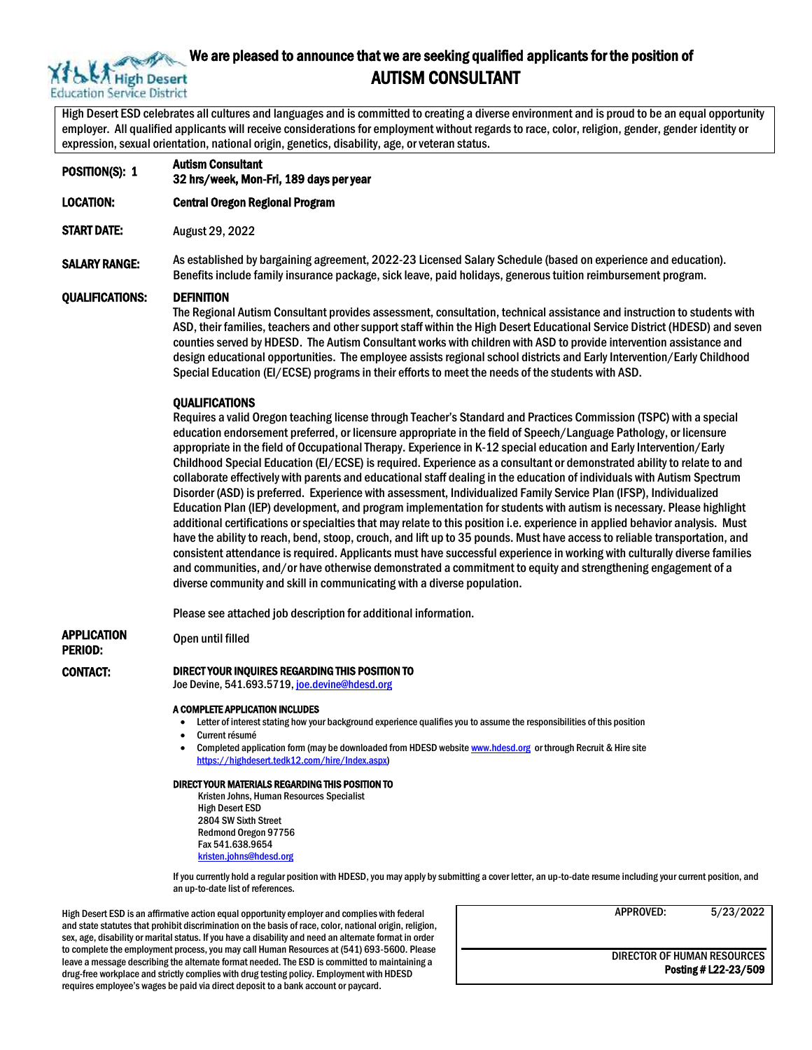

# We are pleased to announce that we are seeking qualified applicants for the position of<br>A High Desert **AUTISM CONSULTANT** AUTISM CONSULTANT

High Desert ESD celebrates all cultures and languages and is committed to creating a diverse environment and is proud to be an equal opportunity employer. All qualified applicants will receive considerations for employment without regards to race, color, religion, gender, gender identity or expression, sexual orientation, national origin, genetics, disability, age, or veteran status.

POSITION(S): 1 Autism Consultant

32 hrs/week, Mon-Fri, 189 days per year

LOCATION: Central Oregon Regional Program

START DATE: August 29, 2022

SALARY RANGE: As established by bargaining agreement, 2022-23 Licensed Salary Schedule (based on experience and education). Benefits include family insurance package, sick leave, paid holidays, generous tuition reimbursement program.

#### QUALIFICATIONS: DEFINITION

The Regional Autism Consultant provides assessment, consultation, technical assistance and instruction to students with ASD, their families, teachers and other support staff within the High Desert Educational Service District (HDESD) and seven counties served by HDESD. The Autism Consultant works with children with ASD to provide intervention assistance and design educational opportunities. The employee assists regional school districts and Early Intervention/Early Childhood Special Education (EI/ECSE) programs in their efforts to meet the needs of the students with ASD.

#### **QUALIFICATIONS**

Requires a valid Oregon teaching license through Teacher's Standard and Practices Commission (TSPC) with a special education endorsement preferred, or licensure appropriate in the field of Speech/Language Pathology, or licensure appropriate in the field of Occupational Therapy. Experience in K-12 special education and Early Intervention/Early Childhood Special Education (EI/ECSE) is required. Experience as a consultant or demonstrated ability to relate to and collaborate effectively with parents and educational staff dealing in the education of individuals with Autism Spectrum Disorder (ASD) is preferred. Experience with assessment, Individualized Family Service Plan (IFSP), Individualized Education Plan (IEP) development, and program implementation for students with autism is necessary. Please highlight additional certifications or specialties that may relate to this position i.e. experience in applied behavior analysis. Must have the ability to reach, bend, stoop, crouch, and lift up to 35 pounds. Must have access to reliable transportation, and consistent attendance is required. Applicants must have successful experience in working with culturally diverse families and communities, and/or have otherwise demonstrated a commitment to equity and strengthening engagement of a diverse community and skill in communicating with a diverse population.

Please see attached job description for additional information.

Open until filled

## APPLICATION PERIOD:

#### CONTACT: DIRECT YOUR INQUIRES REGARDING THIS POSITION TO

Joe Devine, 541.693.5719, [joe.devine@hdesd.org](mailto:joe.devine@hdesd.org)

#### A COMPLETE APPLICATION INCLUDES

- Letter of interest stating how your background experience qualifies you to assume the responsibilities of this position
- Current résumé
- Completed application form (may be downloaded from HDESD websit[e www.hdesd.org](http://www.hdesd.org/) or through Recruit & Hire site [https://highdesert.tedk12.com/hire/Index.aspx\)](https://highdesert.tedk12.com/hire/Index.aspx)

#### DIRECT YOUR MATERIALS REGARDING THIS POSITION TO

Kristen Johns, Human Resources Specialist High Desert ESD 2804 SW Sixth Street Redmond Oregon 97756 Fax 541.638.9654 [kristen.johns@hdesd.org](mailto:kristen.johns@hdesd.org)

If you currently hold a regular position with HDESD, you may apply by submitting a cover letter, an up-to-date resume including your current position, and an up-to-date list of references.

High Desert ESD is an affirmative action equal opportunity employer and complies with federal and state statutes that prohibit discrimination on the basis of race, color, national origin, religion, sex, age, disability or marital status. If you have a disability and need an alternate format in order to complete the employment process, you may call Human Resources at (541) 693-5600. Please leave a message describing the alternate format needed. The ESD is committed to maintaining a drug-free workplace and strictly complies with drug testing policy. Employment with HDESD requires employee's wages be paid via direct deposit to a bank account or paycard.

APPROVED: 5/23/2022

DIRECTOR OF HUMAN RESOURCES Posting # L22-23/509